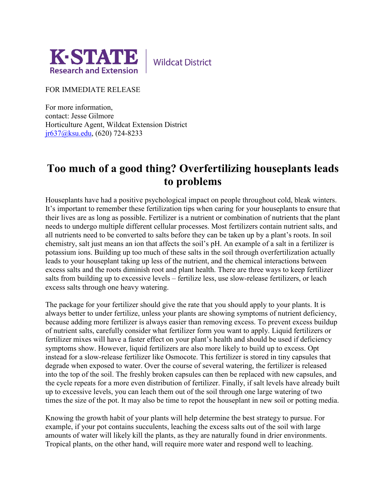

**Wildcat District** 

FOR IMMEDIATE RELEASE

For more information, contact: Jesse Gilmore Horticulture Agent, Wildcat Extension District [jr637@ksu.edu,](mailto:jr637@ksu.edu) (620) 724-8233

## **Too much of a good thing? Overfertilizing houseplants leads to problems**

Houseplants have had a positive psychological impact on people throughout cold, bleak winters. It's important to remember these fertilization tips when caring for your houseplants to ensure that their lives are as long as possible. Fertilizer is a nutrient or combination of nutrients that the plant needs to undergo multiple different cellular processes. Most fertilizers contain nutrient salts, and all nutrients need to be converted to salts before they can be taken up by a plant's roots. In soil chemistry, salt just means an ion that affects the soil's pH. An example of a salt in a fertilizer is potassium ions. Building up too much of these salts in the soil through overfertilization actually leads to your houseplant taking up less of the nutrient, and the chemical interactions between excess salts and the roots diminish root and plant health. There are three ways to keep fertilizer salts from building up to excessive levels – fertilize less, use slow-release fertilizers, or leach excess salts through one heavy watering.

The package for your fertilizer should give the rate that you should apply to your plants. It is always better to under fertilize, unless your plants are showing symptoms of nutrient deficiency, because adding more fertilizer is always easier than removing excess. To prevent excess buildup of nutrient salts, carefully consider what fertilizer form you want to apply. Liquid fertilizers or fertilizer mixes will have a faster effect on your plant's health and should be used if deficiency symptoms show. However, liquid fertilizers are also more likely to build up to excess. Opt instead for a slow-release fertilizer like Osmocote. This fertilizer is stored in tiny capsules that degrade when exposed to water. Over the course of several watering, the fertilizer is released into the top of the soil. The freshly broken capsules can then be replaced with new capsules, and the cycle repeats for a more even distribution of fertilizer. Finally, if salt levels have already built up to excessive levels, you can leach them out of the soil through one large watering of two times the size of the pot. It may also be time to repot the houseplant in new soil or potting media.

Knowing the growth habit of your plants will help determine the best strategy to pursue. For example, if your pot contains succulents, leaching the excess salts out of the soil with large amounts of water will likely kill the plants, as they are naturally found in drier environments. Tropical plants, on the other hand, will require more water and respond well to leaching.